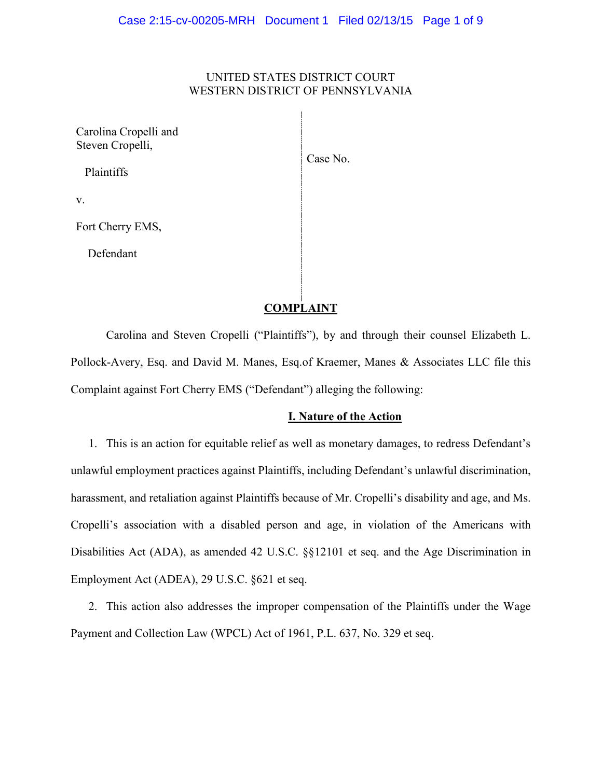## UNITED STATES DISTRICT COURT WESTERN DISTRICT OF PENNSYLVANIA

 $\mathbf{I}$ 

| Carolina Cropelli and<br>Steven Cropelli, | Case No. |
|-------------------------------------------|----------|
| Plaintiffs                                |          |
| V.                                        |          |
| Fort Cherry EMS,                          |          |
| Defendant                                 |          |
|                                           |          |

# **COMPLAINT**

Carolina and Steven Cropelli ("Plaintiffs"), by and through their counsel Elizabeth L. Pollock-Avery, Esq. and David M. Manes, Esq.of Kraemer, Manes & Associates LLC file this Complaint against Fort Cherry EMS ("Defendant") alleging the following:

### **I. Nature of the Action**

1. This is an action for equitable relief as well as monetary damages, to redress Defendant's unlawful employment practices against Plaintiffs, including Defendant's unlawful discrimination, harassment, and retaliation against Plaintiffs because of Mr. Cropelli's disability and age, and Ms. Cropelli's association with a disabled person and age, in violation of the Americans with Disabilities Act (ADA), as amended 42 U.S.C. §§12101 et seq. and the Age Discrimination in Employment Act (ADEA), 29 U.S.C. §621 et seq.

2. This action also addresses the improper compensation of the Plaintiffs under the Wage Payment and Collection Law (WPCL) Act of 1961, P.L. 637, No. 329 et seq.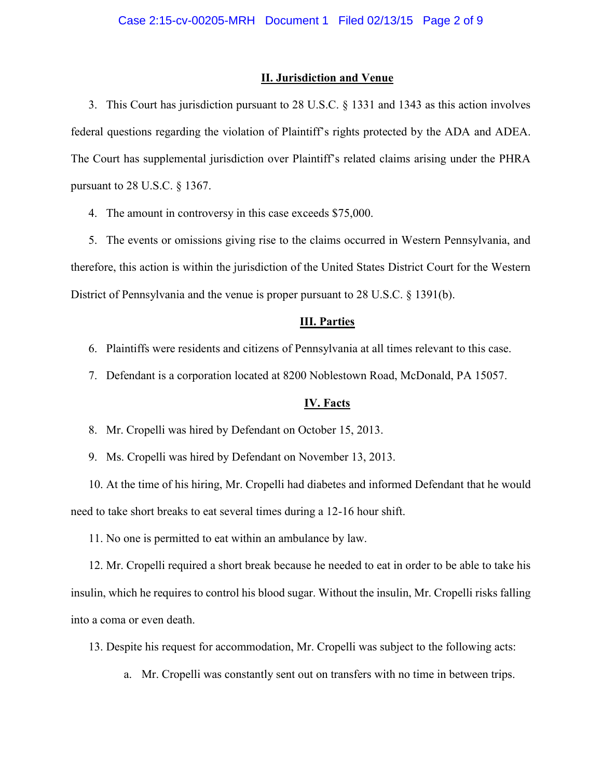#### **II. Jurisdiction and Venue**

3. This Court has jurisdiction pursuant to 28 U.S.C. § 1331 and 1343 as this action involves federal questions regarding the violation of Plaintiff's rights protected by the ADA and ADEA. The Court has supplemental jurisdiction over Plaintiff's related claims arising under the PHRA pursuant to 28 U.S.C. § 1367.

4. The amount in controversy in this case exceeds \$75,000.

5. The events or omissions giving rise to the claims occurred in Western Pennsylvania, and therefore, this action is within the jurisdiction of the United States District Court for the Western District of Pennsylvania and the venue is proper pursuant to 28 U.S.C. § 1391(b).

#### **III. Parties**

- 6. Plaintiffs were residents and citizens of Pennsylvania at all times relevant to this case.
- 7. Defendant is a corporation located at 8200 Noblestown Road, McDonald, PA 15057.

#### **IV. Facts**

- 8. Mr. Cropelli was hired by Defendant on October 15, 2013.
- 9. Ms. Cropelli was hired by Defendant on November 13, 2013.

10. At the time of his hiring, Mr. Cropelli had diabetes and informed Defendant that he would need to take short breaks to eat several times during a 12-16 hour shift.

11. No one is permitted to eat within an ambulance by law.

12. Mr. Cropelli required a short break because he needed to eat in order to be able to take his insulin, which he requires to control his blood sugar. Without the insulin, Mr. Cropelli risks falling into a coma or even death.

13. Despite his request for accommodation, Mr. Cropelli was subject to the following acts:

a. Mr. Cropelli was constantly sent out on transfers with no time in between trips.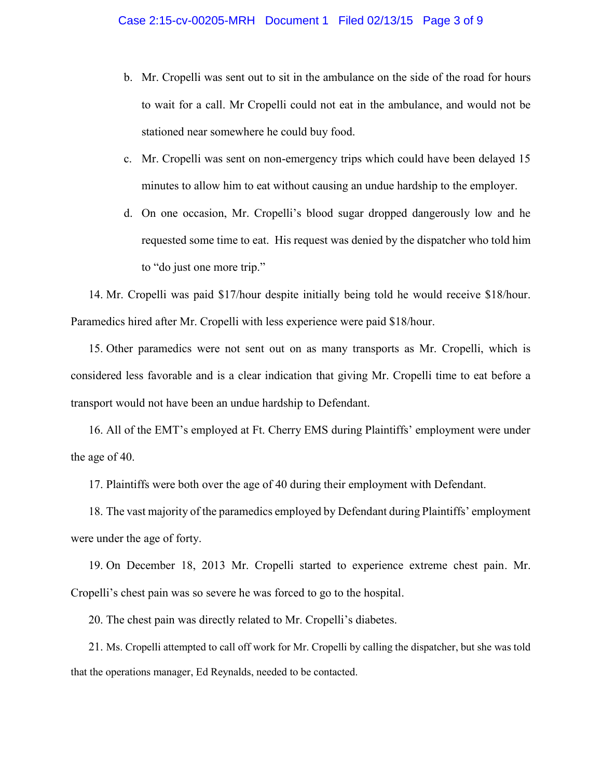- b. Mr. Cropelli was sent out to sit in the ambulance on the side of the road for hours to wait for a call. Mr Cropelli could not eat in the ambulance, and would not be stationed near somewhere he could buy food.
- c. Mr. Cropelli was sent on non-emergency trips which could have been delayed 15 minutes to allow him to eat without causing an undue hardship to the employer.
- d. On one occasion, Mr. Cropelli's blood sugar dropped dangerously low and he requested some time to eat. His request was denied by the dispatcher who told him to "do just one more trip."

14. Mr. Cropelli was paid \$17/hour despite initially being told he would receive \$18/hour. Paramedics hired after Mr. Cropelli with less experience were paid \$18/hour.

15. Other paramedics were not sent out on as many transports as Mr. Cropelli, which is considered less favorable and is a clear indication that giving Mr. Cropelli time to eat before a transport would not have been an undue hardship to Defendant.

16. All of the EMT's employed at Ft. Cherry EMS during Plaintiffs' employment were under the age of 40.

17. Plaintiffs were both over the age of 40 during their employment with Defendant.

18. The vast majority of the paramedics employed by Defendant during Plaintiffs' employment were under the age of forty.

19. On December 18, 2013 Mr. Cropelli started to experience extreme chest pain. Mr. Cropelli's chest pain was so severe he was forced to go to the hospital.

20. The chest pain was directly related to Mr. Cropelli's diabetes.

21. Ms. Cropelli attempted to call off work for Mr. Cropelli by calling the dispatcher, but she was told that the operations manager, Ed Reynalds, needed to be contacted.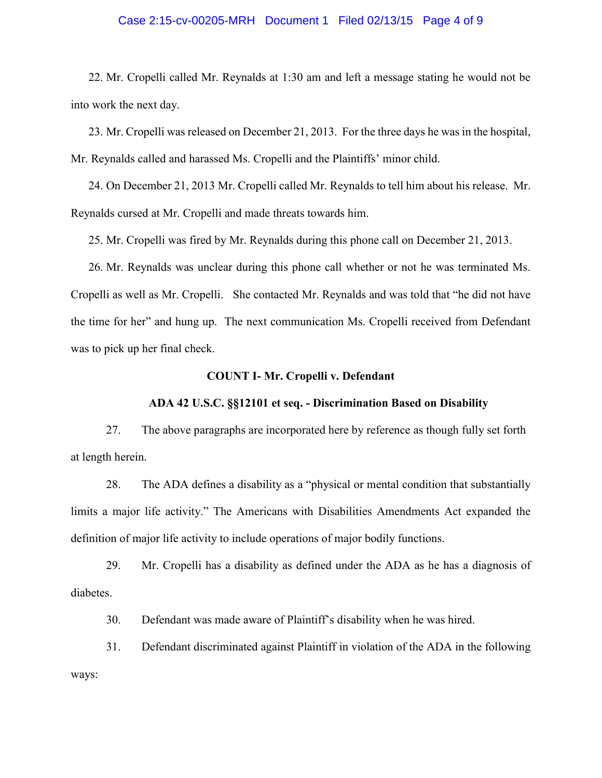### Case 2:15-cv-00205-MRH Document 1 Filed 02/13/15 Page 4 of 9

22. Mr. Cropelli called Mr. Reynalds at 1:30 am and left a message stating he would not be into work the next day.

23. Mr. Cropelli was released on December 21, 2013. For the three days he was in the hospital, Mr. Reynalds called and harassed Ms. Cropelli and the Plaintiffs' minor child.

24. On December 21, 2013 Mr. Cropelli called Mr. Reynalds to tell him about his release. Mr. Reynalds cursed at Mr. Cropelli and made threats towards him.

25. Mr. Cropelli was fired by Mr. Reynalds during this phone call on December 21, 2013.

26. Mr. Reynalds was unclear during this phone call whether or not he was terminated Ms. Cropelli as well as Mr. Cropelli. She contacted Mr. Reynalds and was told that "he did not have the time for her" and hung up. The next communication Ms. Cropelli received from Defendant was to pick up her final check.

### **COUNT I- Mr. Cropelli v. Defendant**

### **ADA 42 U.S.C. §§12101 et seq. - Discrimination Based on Disability**

27. The above paragraphs are incorporated here by reference as though fully set forth at length herein.

28. The ADA defines a disability as a "physical or mental condition that substantially limits a major life activity." The Americans with Disabilities Amendments Act expanded the definition of major life activity to include operations of major bodily functions.

29. Mr. Cropelli has a disability as defined under the ADA as he has a diagnosis of diabetes.

30. Defendant was made aware of Plaintiff's disability when he was hired.

31. Defendant discriminated against Plaintiff in violation of the ADA in the following ways: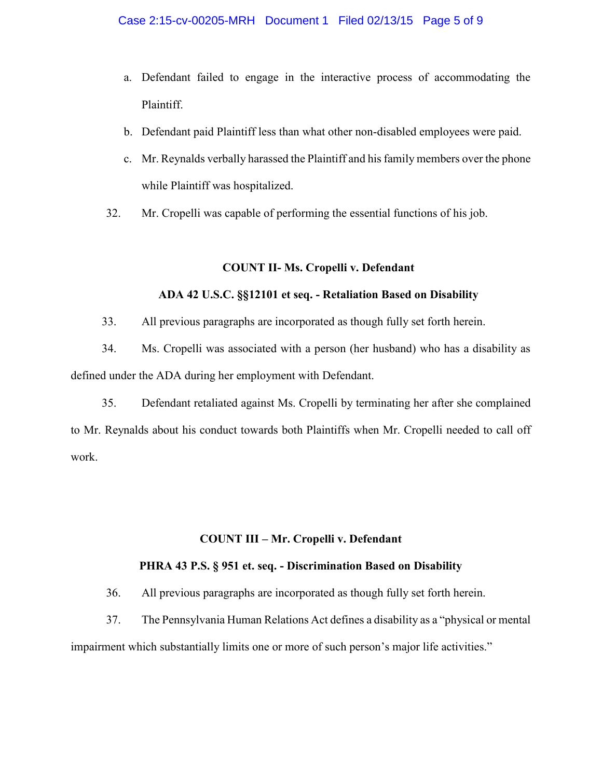- a. Defendant failed to engage in the interactive process of accommodating the Plaintiff.
- b. Defendant paid Plaintiff less than what other non-disabled employees were paid.
- c. Mr. Reynalds verbally harassed the Plaintiff and his family members over the phone while Plaintiff was hospitalized.
- 32. Mr. Cropelli was capable of performing the essential functions of his job.

## **COUNT II- Ms. Cropelli v. Defendant**

## **ADA 42 U.S.C. §§12101 et seq. - Retaliation Based on Disability**

33. All previous paragraphs are incorporated as though fully set forth herein.

34. Ms. Cropelli was associated with a person (her husband) who has a disability as defined under the ADA during her employment with Defendant.

35. Defendant retaliated against Ms. Cropelli by terminating her after she complained to Mr. Reynalds about his conduct towards both Plaintiffs when Mr. Cropelli needed to call off work.

# **COUNT III – Mr. Cropelli v. Defendant**

## **PHRA 43 P.S. § 951 et. seq. - Discrimination Based on Disability**

36. All previous paragraphs are incorporated as though fully set forth herein.

37. The Pennsylvania Human Relations Act defines a disability as a "physical or mental

impairment which substantially limits one or more of such person's major life activities."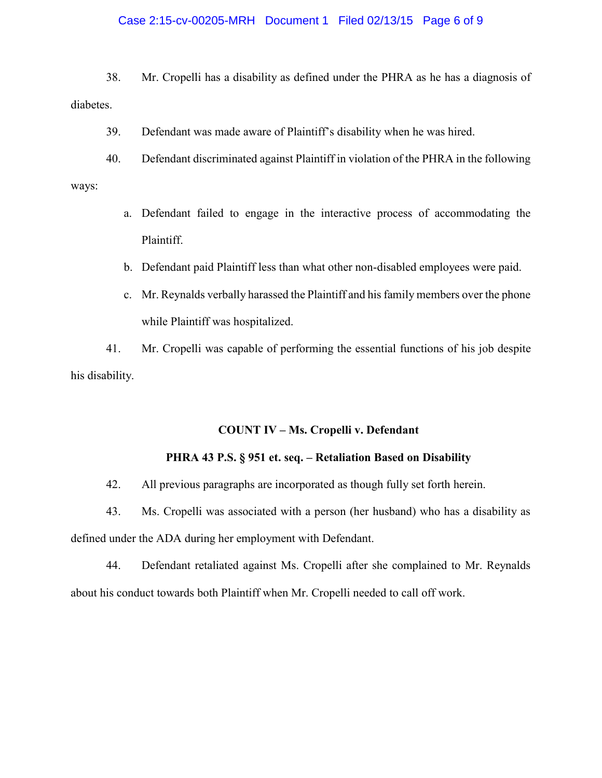### Case 2:15-cv-00205-MRH Document 1 Filed 02/13/15 Page 6 of 9

38. Mr. Cropelli has a disability as defined under the PHRA as he has a diagnosis of diabetes.

39. Defendant was made aware of Plaintiff's disability when he was hired.

- 40. Defendant discriminated against Plaintiff in violation of the PHRA in the following ways:
	- a. Defendant failed to engage in the interactive process of accommodating the Plaintiff.
	- b. Defendant paid Plaintiff less than what other non-disabled employees were paid.
	- c. Mr. Reynalds verbally harassed the Plaintiff and his family members over the phone while Plaintiff was hospitalized.

41. Mr. Cropelli was capable of performing the essential functions of his job despite his disability.

### **COUNT IV – Ms. Cropelli v. Defendant**

### **PHRA 43 P.S. § 951 et. seq. – Retaliation Based on Disability**

42. All previous paragraphs are incorporated as though fully set forth herein.

43. Ms. Cropelli was associated with a person (her husband) who has a disability as defined under the ADA during her employment with Defendant.

44. Defendant retaliated against Ms. Cropelli after she complained to Mr. Reynalds about his conduct towards both Plaintiff when Mr. Cropelli needed to call off work.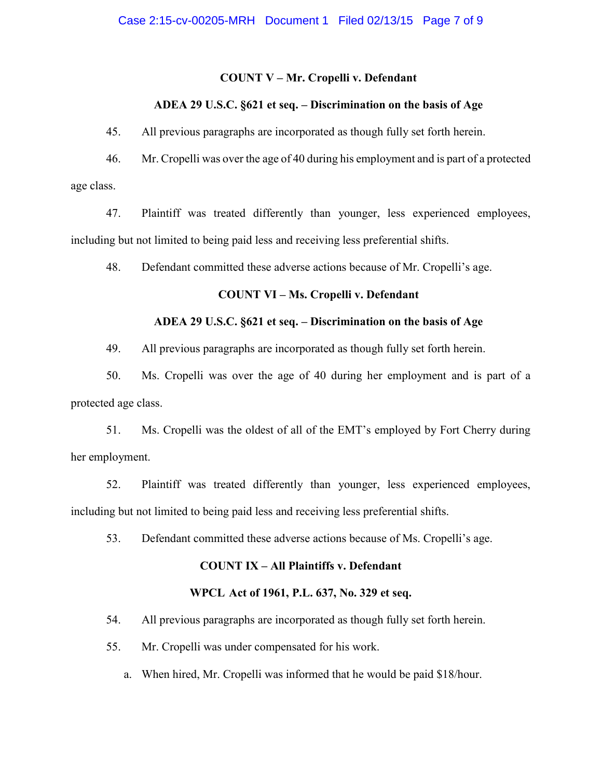### **COUNT V – Mr. Cropelli v. Defendant**

## **ADEA 29 U.S.C. §621 et seq. – Discrimination on the basis of Age**

45. All previous paragraphs are incorporated as though fully set forth herein.

46. Mr. Cropelli was over the age of 40 during his employment and is part of a protected age class.

47. Plaintiff was treated differently than younger, less experienced employees, including but not limited to being paid less and receiving less preferential shifts.

48. Defendant committed these adverse actions because of Mr. Cropelli's age.

### **COUNT VI – Ms. Cropelli v. Defendant**

### **ADEA 29 U.S.C. §621 et seq. – Discrimination on the basis of Age**

49. All previous paragraphs are incorporated as though fully set forth herein.

50. Ms. Cropelli was over the age of 40 during her employment and is part of a protected age class.

51. Ms. Cropelli was the oldest of all of the EMT's employed by Fort Cherry during her employment.

52. Plaintiff was treated differently than younger, less experienced employees, including but not limited to being paid less and receiving less preferential shifts.

53. Defendant committed these adverse actions because of Ms. Cropelli's age.

### **COUNT IX – All Plaintiffs v. Defendant**

#### **WPCL Act of 1961, P.L. 637, No. 329 et seq.**

54. All previous paragraphs are incorporated as though fully set forth herein.

- 55. Mr. Cropelli was under compensated for his work.
	- a. When hired, Mr. Cropelli was informed that he would be paid \$18/hour.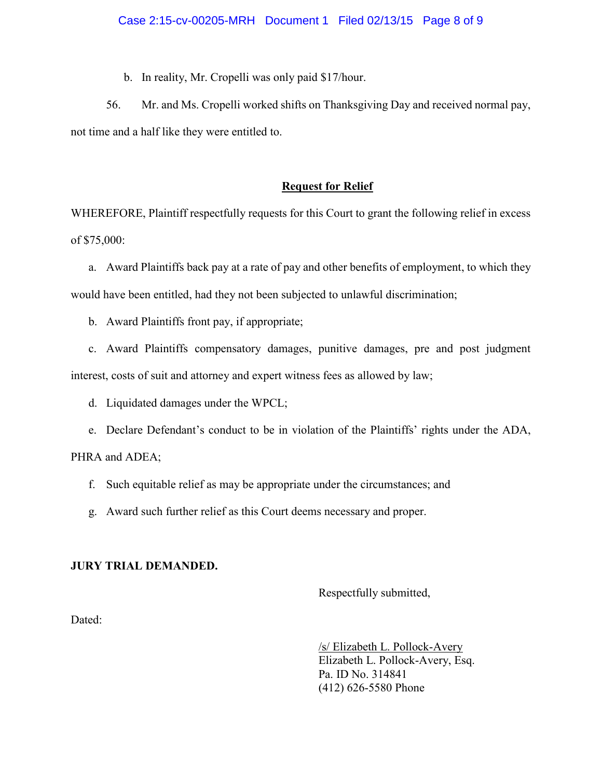b. In reality, Mr. Cropelli was only paid \$17/hour.

56. Mr. and Ms. Cropelli worked shifts on Thanksgiving Day and received normal pay, not time and a half like they were entitled to.

# **Request for Relief**

WHEREFORE, Plaintiff respectfully requests for this Court to grant the following relief in excess of \$75,000:

a. Award Plaintiffs back pay at a rate of pay and other benefits of employment, to which they would have been entitled, had they not been subjected to unlawful discrimination;

b. Award Plaintiffs front pay, if appropriate;

c. Award Plaintiffs compensatory damages, punitive damages, pre and post judgment interest, costs of suit and attorney and expert witness fees as allowed by law;

d. Liquidated damages under the WPCL;

e. Declare Defendant's conduct to be in violation of the Plaintiffs' rights under the ADA,

PHRA and ADEA;

- f. Such equitable relief as may be appropriate under the circumstances; and
- g. Award such further relief as this Court deems necessary and proper.

# **JURY TRIAL DEMANDED.**

Respectfully submitted,

Dated:

/s/ Elizabeth L. Pollock-Avery Elizabeth L. Pollock-Avery, Esq. Pa. ID No. 314841 (412) 626-5580 Phone